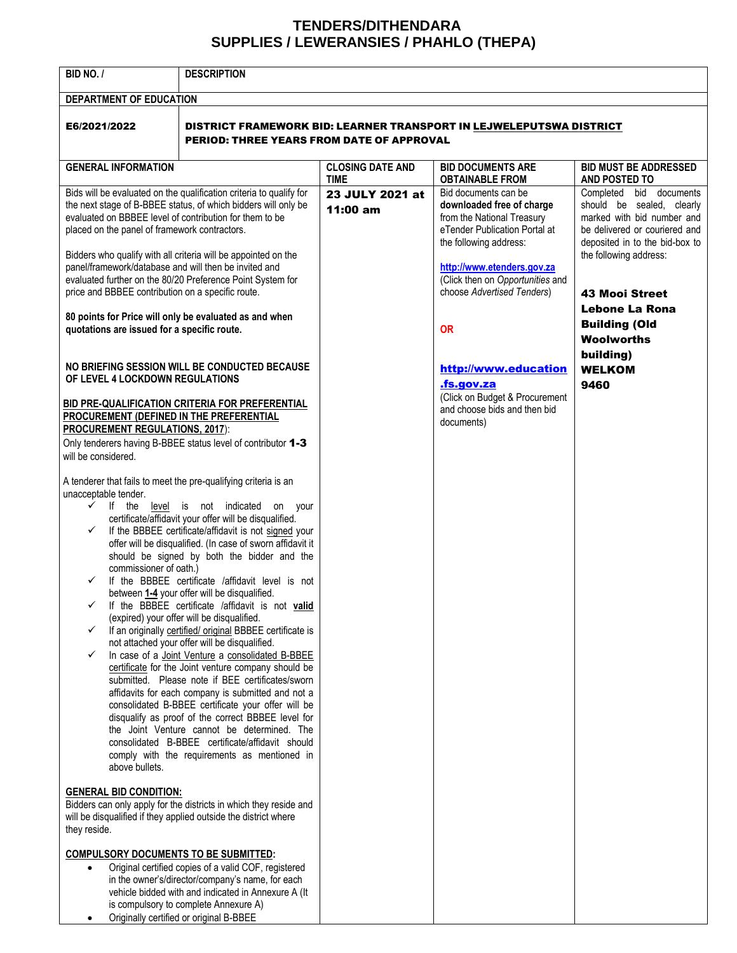## **TENDERS/DITHENDARA SUPPLIES / LEWERANSIES / PHAHLO (THEPA)**

| BID NO. /                                                                                                                                                                                                                                                                                                                                                                                                                                                                                                                                                                              | <b>DESCRIPTION</b>                                                                                                                                                                                                                                                                                                                                                                                                                                                                                                                                                                                                                                                                                                                                                                                                                                                                                                                                                                                                                                                                                                                                                                                                                                                                                                                                                                                                                                                                                                                                                                   |                                        |                                                                                                                                                                                                                                                                                                                                                                               |                                                                                                                                                                                                                                                                                                                      |  |
|----------------------------------------------------------------------------------------------------------------------------------------------------------------------------------------------------------------------------------------------------------------------------------------------------------------------------------------------------------------------------------------------------------------------------------------------------------------------------------------------------------------------------------------------------------------------------------------|--------------------------------------------------------------------------------------------------------------------------------------------------------------------------------------------------------------------------------------------------------------------------------------------------------------------------------------------------------------------------------------------------------------------------------------------------------------------------------------------------------------------------------------------------------------------------------------------------------------------------------------------------------------------------------------------------------------------------------------------------------------------------------------------------------------------------------------------------------------------------------------------------------------------------------------------------------------------------------------------------------------------------------------------------------------------------------------------------------------------------------------------------------------------------------------------------------------------------------------------------------------------------------------------------------------------------------------------------------------------------------------------------------------------------------------------------------------------------------------------------------------------------------------------------------------------------------------|----------------------------------------|-------------------------------------------------------------------------------------------------------------------------------------------------------------------------------------------------------------------------------------------------------------------------------------------------------------------------------------------------------------------------------|----------------------------------------------------------------------------------------------------------------------------------------------------------------------------------------------------------------------------------------------------------------------------------------------------------------------|--|
| DEPARTMENT OF EDUCATION                                                                                                                                                                                                                                                                                                                                                                                                                                                                                                                                                                |                                                                                                                                                                                                                                                                                                                                                                                                                                                                                                                                                                                                                                                                                                                                                                                                                                                                                                                                                                                                                                                                                                                                                                                                                                                                                                                                                                                                                                                                                                                                                                                      |                                        |                                                                                                                                                                                                                                                                                                                                                                               |                                                                                                                                                                                                                                                                                                                      |  |
| E6/2021/2022                                                                                                                                                                                                                                                                                                                                                                                                                                                                                                                                                                           | DISTRICT FRAMEWORK BID: LEARNER TRANSPORT IN LEJWELEPUTSWA DISTRICT<br><b>PERIOD: THREE YEARS FROM DATE OF APPROVAL</b>                                                                                                                                                                                                                                                                                                                                                                                                                                                                                                                                                                                                                                                                                                                                                                                                                                                                                                                                                                                                                                                                                                                                                                                                                                                                                                                                                                                                                                                              |                                        |                                                                                                                                                                                                                                                                                                                                                                               |                                                                                                                                                                                                                                                                                                                      |  |
| <b>GENERAL INFORMATION</b>                                                                                                                                                                                                                                                                                                                                                                                                                                                                                                                                                             |                                                                                                                                                                                                                                                                                                                                                                                                                                                                                                                                                                                                                                                                                                                                                                                                                                                                                                                                                                                                                                                                                                                                                                                                                                                                                                                                                                                                                                                                                                                                                                                      | <b>CLOSING DATE AND</b><br><b>TIME</b> | <b>BID DOCUMENTS ARE</b><br><b>OBTAINABLE FROM</b>                                                                                                                                                                                                                                                                                                                            | <b>BID MUST BE ADDRESSED</b><br>AND POSTED TO                                                                                                                                                                                                                                                                        |  |
| evaluated on BBBEE level of contribution for them to be<br>placed on the panel of framework contractors.<br>panel/framework/database and will then be invited and<br>price and BBBEE contribution on a specific route.<br>quotations are issued for a specific route.<br>OF LEVEL 4 LOCKDOWN REGULATIONS<br>PROCUREMENT (DEFINED IN THE PREFERENTIAL<br><b>PROCUREMENT REGULATIONS, 2017):</b><br>will be considered.<br>A tenderer that fails to meet the pre-qualifying criteria is an<br>unacceptable tender.<br>$\checkmark$<br>commissioner of oath.)<br>✓<br>✓<br>above bullets. | Bids will be evaluated on the qualification criteria to qualify for<br>the next stage of B-BBEE status, of which bidders will only be<br>Bidders who qualify with all criteria will be appointed on the<br>evaluated further on the 80/20 Preference Point System for<br>80 points for Price will only be evaluated as and when<br>NO BRIEFING SESSION WILL BE CONDUCTED BECAUSE<br>BID PRE-QUALIFICATION CRITERIA FOR PREFERENTIAL<br>Only tenderers having B-BBEE status level of contributor 1-3<br>If the level is not indicated on your<br>certificate/affidavit your offer will be disqualified.<br>If the BBBEE certificate/affidavit is not signed your<br>offer will be disqualified. (In case of sworn affidavit it<br>should be signed by both the bidder and the<br>If the BBBEE certificate /affidavit level is not<br>between 1-4 your offer will be disqualified.<br>If the BBBEE certificate /affidavit is not valid<br>(expired) your offer will be disqualified.<br>If an originally certified/ original BBBEE certificate is<br>not attached your offer will be disqualified.<br>In case of a Joint Venture a consolidated B-BBEE<br>certificate for the Joint venture company should be<br>submitted. Please note if BEE certificates/sworn<br>affidavits for each company is submitted and not a<br>consolidated B-BBEE certificate your offer will be<br>disqualify as proof of the correct BBBEE level for<br>the Joint Venture cannot be determined. The<br>consolidated B-BBEE certificate/affidavit should<br>comply with the requirements as mentioned in | 23 JULY 2021 at<br>11:00 am            | Bid documents can be<br>downloaded free of charge<br>from the National Treasury<br>eTender Publication Portal at<br>the following address:<br>http://www.etenders.gov.za<br>(Click then on Opportunities and<br>choose Advertised Tenders)<br><b>OR</b><br>http://www.education<br>.fs.gov.za<br>(Click on Budget & Procurement<br>and choose bids and then bid<br>documents) | Completed bid documents<br>should be sealed, clearly<br>marked with bid number and<br>be delivered or couriered and<br>deposited in to the bid-box to<br>the following address:<br><b>43 Mooi Street</b><br><b>Lebone La Rona</b><br><b>Building (Old</b><br><b>Woolworths</b><br>building)<br><b>WELKOM</b><br>9460 |  |
| <b>GENERAL BID CONDITION:</b><br>Bidders can only apply for the districts in which they reside and<br>will be disqualified if they applied outside the district where<br>they reside.                                                                                                                                                                                                                                                                                                                                                                                                  |                                                                                                                                                                                                                                                                                                                                                                                                                                                                                                                                                                                                                                                                                                                                                                                                                                                                                                                                                                                                                                                                                                                                                                                                                                                                                                                                                                                                                                                                                                                                                                                      |                                        |                                                                                                                                                                                                                                                                                                                                                                               |                                                                                                                                                                                                                                                                                                                      |  |
| <b>COMPULSORY DOCUMENTS TO BE SUBMITTED:</b><br>$\bullet$                                                                                                                                                                                                                                                                                                                                                                                                                                                                                                                              | Original certified copies of a valid COF, registered<br>in the owner's/director/company's name, for each<br>vehicle bidded with and indicated in Annexure A (It<br>is compulsory to complete Annexure A)<br>Originally certified or original B-BBEE                                                                                                                                                                                                                                                                                                                                                                                                                                                                                                                                                                                                                                                                                                                                                                                                                                                                                                                                                                                                                                                                                                                                                                                                                                                                                                                                  |                                        |                                                                                                                                                                                                                                                                                                                                                                               |                                                                                                                                                                                                                                                                                                                      |  |